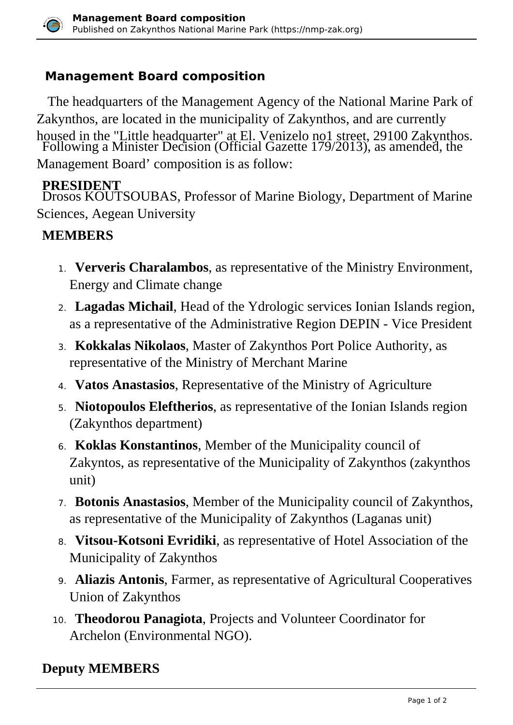

## **Management Board composition**

 The headquarters of the Management Agency of the National Marine Park of Zakynthos, are located in the municipality of Zakynthos, and are currently housed in the "Little headquarter" at El. Venizelo no1 street, 29100 Zakynthos. Following a Minister Decision (Official Gazette 179/2013), as amended, the Management Board' composition is as follow:

## **PRESIDENT**

 Drosos KOUTSOUBAS, Professor of Marine Biology, Department of Marine Sciences, Aegean University

## **MEMBERS**

- 1. **Ververis Charalambos**, as representative of the Ministry Environment, Energy and Climate change
- 2. **Lagadas Michail**, Head of the Ydrologic services Ionian Islands region, as a representative of the Administrative Region DEPIN - Vice President
- 3. **Kokkalas Nikolaos**, Master of Zakynthos Port Police Authority, as representative of the Ministry of Merchant Marine
- 4. **Vatos Anastasios**, Representative of the Ministry of Agriculture
- 5. **Niotopoulos Eleftherios**, as representative of the Ionian Islands region (Zakynthos department)
- 6. **Koklas Konstantinos**, Member of the Municipality council of Zakyntos, as representative of the Municipality of Zakynthos (zakynthos unit)
- 7. **Botonis Anastasios**, Member of the Municipality council of Zakynthos, as representative of the Municipality of Zakynthos (Laganas unit)
- 8. **Vitsou-Kotsoni Evridiki**, as representative of Hotel Association of the Municipality of Zakynthos
- 9. **Aliazis Antonis**, Farmer, as representative of Agricultural Cooperatives Union of Zakynthos
- 10. **Theodorou Panagiota**, Projects and Volunteer Coordinator for Archelon (Environmental NGO).

## **Deputy MEMBERS**